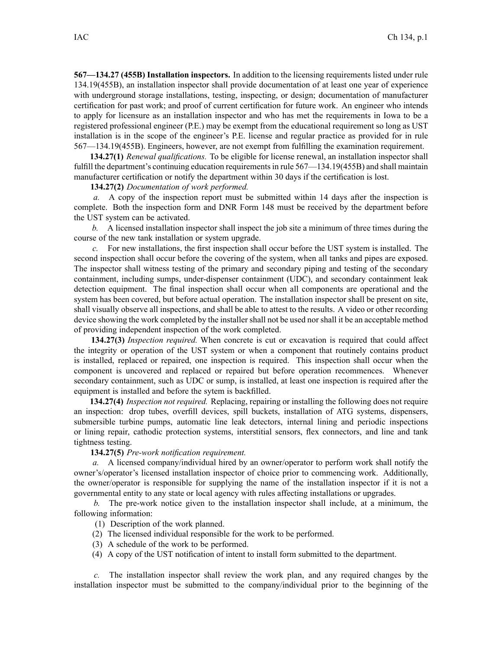**567—134.27 (455B) Installation inspectors.** In addition to the licensing requirements listed under rule 134.19(455B), an installation inspector shall provide documentation of at least one year of experience with underground storage installations, testing, inspecting, or design; documentation of manufacturer certification for pas<sup>t</sup> work; and proof of current certification for future work. An engineer who intends to apply for licensure as an installation inspector and who has met the requirements in Iowa to be <sup>a</sup> registered professional engineer (P.E.) may be exemp<sup>t</sup> from the educational requirement so long as UST installation is in the scope of the engineer's P.E. license and regular practice as provided for in rule 567—134.19(455B). Engineers, however, are not exemp<sup>t</sup> from fulfilling the examination requirement.

**134.27(1)** *Renewal qualifications.* To be eligible for license renewal, an installation inspector shall fulfill the department's continuing education requirements in rule 567—134.19(455B) and shall maintain manufacturer certification or notify the department within 30 days if the certification is lost.

**134.27(2)** *Documentation of work performed.*

*a.* A copy of the inspection repor<sup>t</sup> must be submitted within 14 days after the inspection is complete. Both the inspection form and DNR Form 148 must be received by the department before the UST system can be activated.

*b.* A licensed installation inspector shall inspect the job site <sup>a</sup> minimum of three times during the course of the new tank installation or system upgrade.

For new installations, the first inspection shall occur before the UST system is installed. The second inspection shall occur before the covering of the system, when all tanks and pipes are exposed. The inspector shall witness testing of the primary and secondary piping and testing of the secondary containment, including sumps, under-dispenser containment (UDC), and secondary containment leak detection equipment. The final inspection shall occur when all components are operational and the system has been covered, but before actual operation. The installation inspector shall be presen<sup>t</sup> on site, shall visually observe all inspections, and shall be able to attest to the results. A video or other recording device showing the work completed by the installer shall not be used nor shall it be an acceptable method of providing independent inspection of the work completed.

**134.27(3)** *Inspection required.* When concrete is cut or excavation is required that could affect the integrity or operation of the UST system or when <sup>a</sup> componen<sup>t</sup> that routinely contains product is installed, replaced or repaired, one inspection is required. This inspection shall occur when the componen<sup>t</sup> is uncovered and replaced or repaired but before operation recommences. Whenever secondary containment, such as UDC or sump, is installed, at least one inspection is required after the equipment is installed and before the sytem is backfilled.

**134.27(4)** *Inspection not required.* Replacing, repairing or installing the following does not require an inspection: drop tubes, overfill devices, spill buckets, installation of ATG systems, dispensers, submersible turbine pumps, automatic line leak detectors, internal lining and periodic inspections or lining repair, cathodic protection systems, interstitial sensors, flex connectors, and line and tank tightness testing.

**134.27(5)** *Pre-work notification requirement.*

*a.* A licensed company/individual hired by an owner/operator to perform work shall notify the owner's/operator's licensed installation inspector of choice prior to commencing work. Additionally, the owner/operator is responsible for supplying the name of the installation inspector if it is not <sup>a</sup> governmental entity to any state or local agency with rules affecting installations or upgrades.

*b.* The pre-work notice given to the installation inspector shall include, at <sup>a</sup> minimum, the following information:

(1) Description of the work planned.

- (2) The licensed individual responsible for the work to be performed.
- (3) A schedule of the work to be performed.
- (4) A copy of the UST notification of intent to install form submitted to the department.

*c.* The installation inspector shall review the work plan, and any required changes by the installation inspector must be submitted to the company/individual prior to the beginning of the